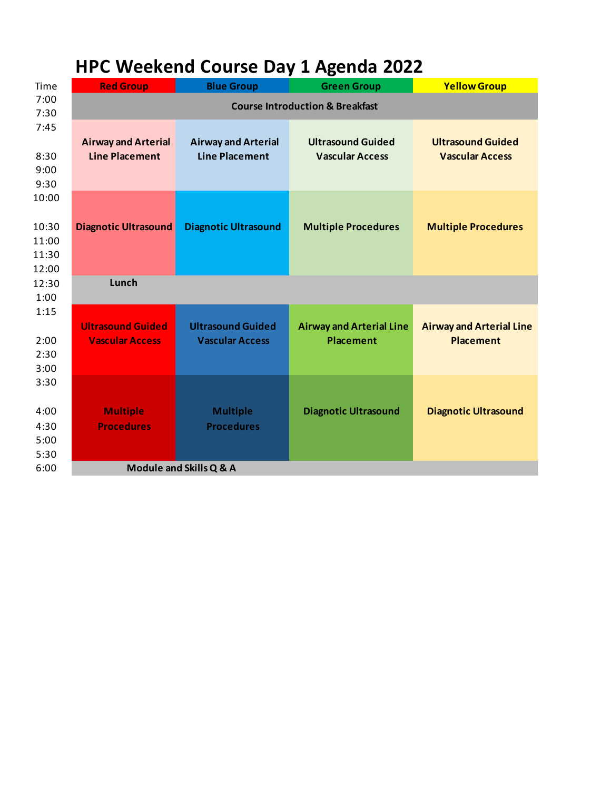## **HPC Weekend Course Day 1 Agenda 2022**

| Time                                                                      | <b>Red Group</b>                                    | <b>Blue Group</b>                                   | <b>Green Group</b>                                  | <b>Yellow Group</b>                                 |  |
|---------------------------------------------------------------------------|-----------------------------------------------------|-----------------------------------------------------|-----------------------------------------------------|-----------------------------------------------------|--|
| 7:00<br>7:30                                                              | <b>Course Introduction &amp; Breakfast</b>          |                                                     |                                                     |                                                     |  |
| 7:45<br>8:30<br>9:00<br>9:30<br>10:00<br>10:30<br>11:00<br>11:30<br>12:00 | <b>Airway and Arterial</b><br><b>Line Placement</b> | <b>Airway and Arterial</b><br><b>Line Placement</b> | <b>Ultrasound Guided</b><br><b>Vascular Access</b>  | <b>Ultrasound Guided</b><br><b>Vascular Access</b>  |  |
|                                                                           | <b>Diagnotic Ultrasound</b>                         | <b>Diagnotic Ultrasound</b>                         | <b>Multiple Procedures</b>                          | <b>Multiple Procedures</b>                          |  |
| 12:30<br>1:00                                                             | Lunch                                               |                                                     |                                                     |                                                     |  |
| 1:15<br>2:00<br>2:30<br>3:00                                              | <b>Ultrasound Guided</b><br><b>Vascular Access</b>  | <b>Ultrasound Guided</b><br><b>Vascular Access</b>  | <b>Airway and Arterial Line</b><br><b>Placement</b> | <b>Airway and Arterial Line</b><br><b>Placement</b> |  |
| 3:30<br>4:00<br>4:30<br>5:00<br>5:30                                      | <b>Multiple</b><br><b>Procedures</b>                | <b>Multiple</b><br><b>Procedures</b>                | <b>Diagnotic Ultrasound</b>                         | <b>Diagnotic Ultrasound</b>                         |  |
| 6:00                                                                      | Module and Skills Q & A                             |                                                     |                                                     |                                                     |  |